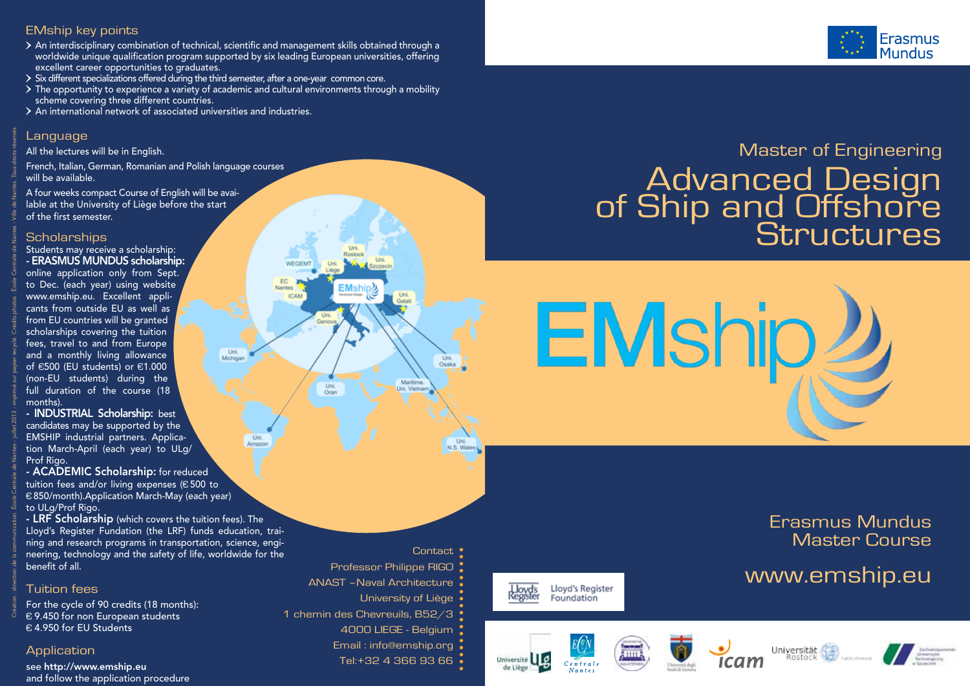#### EMship key points

- $\geq$  An interdisciplinary combination of technical, scientific and management skills obtained through a worldwide unique qualification program supported by six leading European universities, offering excellent career opportunities to graduates.
- Six different specializations offered during the third semester, after a one-year common core.
- $\geq$  The opportunity to experience a variety of academic and cultural environments through a mobility scheme covering three different countries.

Uni.<br>Michigar

Uni

WEGEMT

**ICAM** 

 $EMship2$ 

Uni.<br>Oran

Nantos

An international network of associated universities and industries.

#### Language

All the lectures will be in English.

French, Italian, German, Romanian and Polish language courses will be available.

A four weeks compact Course of English will be available at the University of Liège before the start of the first semester.

#### **Scholarships**

Création : direction de la communication. École Centrale de Nantes - juillet 2013 - imprimé sur papier recyclé. Crédits photos : École Centrale de Nantes - Ville de Nantes. Tous droits réservés.

Students may receive a scholarship: - ERASMUS MUNDUS scholarship: online application only from Sept. to Dec. (each year) using website www.emship.eu. Excellent applicants from outside EU as well as from EU countries will be granted scholarships covering the tuition fees, travel to and from Europe and a monthly living allowance of €500 (EU students) or €1.000 (non-EU students) during the full duration of the course (18 months).

- INDUSTRIAL Scholarship: best candidates may be supported by the EMSHIP industrial partners. Application March-April (each year) to ULg/ Prof Rigo.

- ACADEMIC Scholarship: for reduced tuition fees and/or living expenses (€ 500 to € 850/month).Application March-May (each year) to ULg/Prof Rigo.

- LRF Scholarship (which covers the tuition fees). The Lloyd's Register Fundation (the LRF) funds education, training and research programs in transportation, science, engineering, technology and the safety of life, worldwide for the benefit of all.

#### Tuition fees

For the cycle of 90 credits (18 months): € 9.450 for non European students € 4.950 for EU Students

#### **Application**

see http://www.emship.eu and follow the application procedure

## **Contact** Professor Philippe RIGO ANAST –Naval Architecture University of Liège 1 chemin des Chevreuils, B52/3 4000 LIEGE - Belgium Email : info@emship.org Tel:+32 4 366 93 66 .

Uni.

Uni

Maritime

# Master of Engineering Advanced Design<br>of Ship and Offshore<br>Structures



Erasmus Mundus Master Course

# www.emship.eu



Lloyd's Register Lloyd's<br>Register Foundation

de Liège